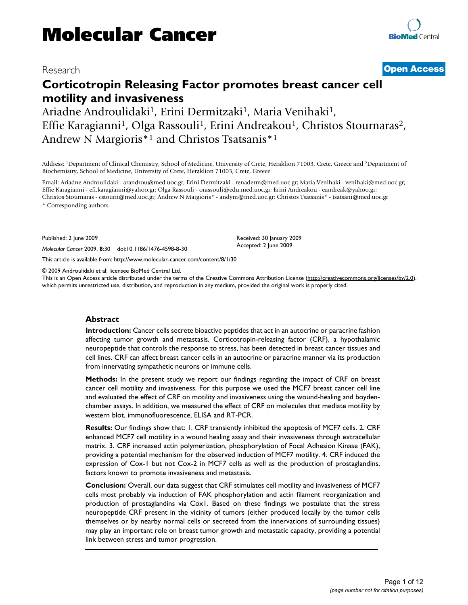# Research **[Open Access](http://www.biomedcentral.com/info/about/charter/)**

# **Corticotropin Releasing Factor promotes breast cancer cell motility and invasiveness**

Ariadne Androulidaki<sup>1</sup>, Erini Dermitzaki<sup>1</sup>, Maria Venihaki<sup>1</sup>, Effie Karagianni<sup>1</sup>, Olga Rassouli<sup>1</sup>, Erini Andreakou<sup>1</sup>, Christos Stournaras<sup>2</sup>, Andrew N Margioris\*1 and Christos Tsatsanis\*1

Address: 1Department of Clinical Chemistry, School of Medicine, University of Crete, Heraklion 71003, Crete, Greece and 2Department of Biochemistry, School of Medicine, University of Crete, Heraklion 71003, Crete, Greece

Email: Ariadne Androulidaki - arandrou@med.uoc.gr; Erini Dermitzaki - renaderm@med.uoc.gr; Maria Venihaki - venihaki@med.uoc.gr; Effie Karagianni - efi.karagianni@yahoo.gr; Olga Rassouli - orassouli@edu.med.uoc.gr; Erini Andreakou - eandreak@yahoo.gr; Christos Stournaras - cstourn@med.uoc.gr; Andrew N Margioris\* - andym@med.uoc.gr; Christos Tsatsanis\* - tsatsani@med.uoc.gr

\* Corresponding authors

Published: 2 June 2009

*Molecular Cancer* 2009, **8**:30 doi:10.1186/1476-4598-8-30

[This article is available from: http://www.molecular-cancer.com/content/8/1/30](http://www.molecular-cancer.com/content/8/1/30)

© 2009 Androulidaki et al; licensee BioMed Central Ltd.

This is an Open Access article distributed under the terms of the Creative Commons Attribution License [\(http://creativecommons.org/licenses/by/2.0\)](http://creativecommons.org/licenses/by/2.0), which permits unrestricted use, distribution, and reproduction in any medium, provided the original work is properly cited.

Received: 30 January 2009 Accepted: 2 June 2009

#### **Abstract**

**Introduction:** Cancer cells secrete bioactive peptides that act in an autocrine or paracrine fashion affecting tumor growth and metastasis. Corticotropin-releasing factor (CRF), a hypothalamic neuropeptide that controls the response to stress, has been detected in breast cancer tissues and cell lines. CRF can affect breast cancer cells in an autocrine or paracrine manner via its production from innervating sympathetic neurons or immune cells.

**Methods:** In the present study we report our findings regarding the impact of CRF on breast cancer cell motility and invasiveness. For this purpose we used the MCF7 breast cancer cell line and evaluated the effect of CRF on motility and invasiveness using the wound-healing and boydenchamber assays. In addition, we measured the effect of CRF on molecules that mediate motility by western blot, immunofluorescence, ELISA and RT-PCR.

**Results:** Our findings show that: 1. CRF transiently inhibited the apoptosis of MCF7 cells. 2. CRF enhanced MCF7 cell motility in a wound healing assay and their invasiveness through extracellular matrix. 3. CRF increased actin polymerization, phosphorylation of Focal Adhesion Kinase (FAK), providing a potential mechanism for the observed induction of MCF7 motility. 4. CRF induced the expression of Cox-1 but not Cox-2 in MCF7 cells as well as the production of prostaglandins, factors known to promote invasiveness and metastasis.

**Conclusion:** Overall, our data suggest that CRF stimulates cell motility and invasiveness of MCF7 cells most probably via induction of FAK phosphorylation and actin filament reorganization and production of prostaglandins via Cox1. Based on these findings we postulate that the stress neuropeptide CRF present in the vicinity of tumors (either produced locally by the tumor cells themselves or by nearby normal cells or secreted from the innervations of surrounding tissues) may play an important role on breast tumor growth and metastatic capacity, providing a potential link between stress and tumor progression.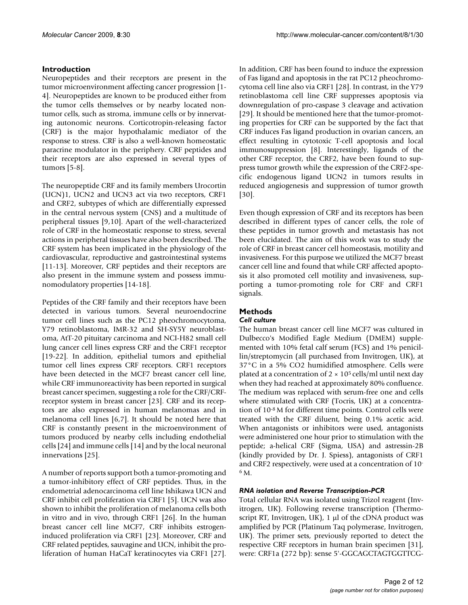# **Introduction**

Neuropeptides and their receptors are present in the tumor microenvironment affecting cancer progression [1- 4]. Neuropeptides are known to be produced either from the tumor cells themselves or by nearby located nontumor cells, such as stroma, immune cells or by innervating autonomic neurons. Corticotropin-releasing factor (CRF) is the major hypothalamic mediator of the response to stress. CRF is also a well-known homeostatic paracrine modulator in the periphery. CRF peptides and their receptors are also expressed in several types of tumors [5-8].

The neuropeptide CRF and its family members Urocortin (UCN)1, UCN2 and UCN3 act via two receptors, CRF1 and CRF2, subtypes of which are differentially expressed in the central nervous system (CNS) and a multitude of peripheral tissues [9,10]. Apart of the well-characterized role of CRF in the homeostatic response to stress, several actions in peripheral tissues have also been described. The CRF system has been implicated in the physiology of the cardiovascular, reproductive and gastrointestinal systems [11-13]. Moreover, CRF peptides and their receptors are also present in the immune system and possess immunomodulatory properties [14-18].

Peptides of the CRF family and their receptors have been detected in various tumors. Several neuroendocrine tumor cell lines such as the PC12 pheochromocytoma, Y79 retinoblastoma, IMR-32 and SH-SY5Y neuroblastoma, AtT-20 pituitary carcinoma and NCI-H82 small cell lung cancer cell lines express CRF and the CRF1 receptor [19-22]. In addition, epithelial tumors and epithelial tumor cell lines express CRF receptors. CRF1 receptors have been detected in the MCF7 breast cancer cell line, while CRF immunoreactivity has been reported in surgical breast cancer specimen, suggesting a role for the CRF/CRFreceptor system in breast cancer [23]. CRF and its receptors are also expressed in human melanomas and in melanoma cell lines [6,7]. It should be noted here that CRF is constantly present in the microenvironment of tumors produced by nearby cells including endothelial cells [24] and immune cells [14] and by the local neuronal innervations [25].

A number of reports support both a tumor-promoting and a tumor-inhibitory effect of CRF peptides. Thus, in the endometrial adenocarcinoma cell line Ishikawa UCN and CRF inhibit cell proliferation via CRF1 [5]. UCN was also shown to inhibit the proliferation of melanoma cells both in vitro and in vivo, through CRF1 [26]. In the human breast cancer cell line MCF7, CRF inhibits estrogeninduced proliferation via CRF1 [23]. Moreover, CRF and CRF related peptides, sauvagine and UCN, inhibit the proliferation of human HaCaT keratinocytes via CRF1 [27].

In addition, CRF has been found to induce the expression of Fas ligand and apoptosis in the rat PC12 pheochromocytoma cell line also via CRF1 [28]. In contrast, in the Y79 retinoblastoma cell line CRF suppresses apoptosis via downregulation of pro-caspase 3 cleavage and activation [29]. It should be mentioned here that the tumor-promoting properties for CRF can be supported by the fact that CRF induces Fas ligand production in ovarian cancers, an effect resulting in cytotoxic T-cell apoptosis and local immunosuppression [8]. Interestingly, ligands of the other CRF receptor, the CRF2, have been found to suppress tumor growth while the expression of the CRF2-specific endogenous ligand UCN2 in tumors results in reduced angiogenesis and suppression of tumor growth [30].

Even though expression of CRF and its receptors has been described in different types of cancer cells, the role of these peptides in tumor growth and metastasis has not been elucidated. The aim of this work was to study the role of CRF in breast cancer cell homeostasis, motility and invasiveness. For this purpose we utilized the MCF7 breast cancer cell line and found that while CRF affected apoptosis it also promoted cell motility and invasiveness, supporting a tumor-promoting role for CRF and CRF1 signals.

# **Methods**

#### *Cell culture*

The human breast cancer cell line MCF7 was cultured in Dulbecco's Modified Eagle Medium (DMEM) supplemented with 10% fetal calf serum (FCS) and 1% penicillin/streptomycin (all purchased from Invitrogen, UK), at 37°C in a 5% CO2 humidified atmosphere. Cells were plated at a concentration of  $2 \times 10^5$  cells/ml until next day when they had reached at approximately 80% confluence. The medium was replaced with serum-free one and cells where stimulated with CRF (Tocris, UK) at a concentration of 10-8 M for different time points. Control cells were treated with the CRF diluent, being 0.1% acetic acid. When antagonists or inhibitors were used, antagonists were administered one hour prior to stimulation with the peptide; a-helical CRF (Sigma, USA) and astressin-2B (kindly provided by Dr. J. Spiess), antagonists of CRF1 and CRF2 respectively, were used at a concentration of 10- 6 M.

# *RNA isolation and Reverse Transcription-PCR*

Total cellular RNA was isolated using Trizol reagent (Invitrogen, UK). Following reverse transcription (Thermoscript RT, Invitrogen, UK), 1 μl of the cDNA product was amplified by PCR (Platinum Taq polymerase, Invitrogen, UK). The primer sets, previously reported to detect the respective CRF receptors in human brain specimen [31], were: CRF1a (272 bp): sense 5'-GGCAGCTAGTGGTTCG-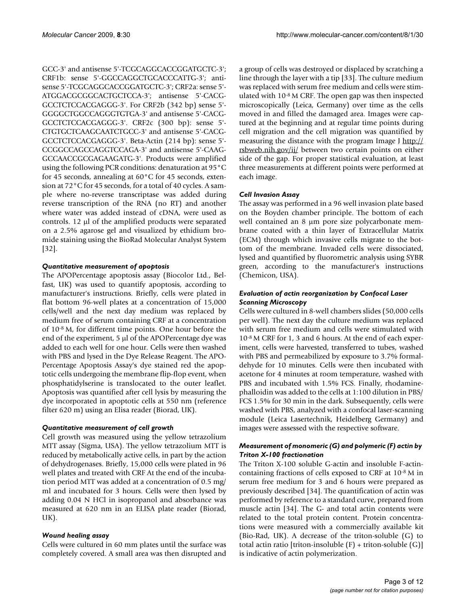GCC-3' and antisense 5'-TCGCAGGCACCGGATGCTC-3'; CRF1b: sense 5'-GGCCAGGCTGCACCCATTG-3'; antisense 5'-TCGCAGGCACCGGATGCTC-3'; CRF2a: sense 5'- ATGGACGCGGCACTGCTCCA-3'; antisense 5'-CACG-GCCTCTCCACGAGGG-3'. For CRF2b (342 bp) sense 5'- GGGGCTGGCCAGGGTGTGA-3' and antisense 5'-CACG-GCCTCTCCACGAGGG-3'. CRF2c (300 bp): sense 5'- CTGTGCTCAAGCAATCTGCC-3' and antisense 5'-CACG-GCCTCTCCACGAGGG-3'. Beta-Actin (214 bp): sense 5'- CCGGCCAGCCAGGTCCAGA-3' and antisense 5'-CAAG-GCCAACCGCGAGAAGATG-3'. Products were amplified using the following PCR conditions: denaturation at 95°C for 45 seconds, annealing at 60°C for 45 seconds, extension at 72°C for 45 seconds, for a total of 40 cycles. A sample where no-reverse transcriptase was added during reverse transcription of the RNA (no RT) and another where water was added instead of cDNA, were used as controls. 12 μl of the amplified products were separated on a 2.5% agarose gel and visualized by ethidium bromide staining using the BioRad Molecular Analyst System [32].

#### *Quantitative measurement of apoptosis*

The APOPercentage apoptosis assay (Biocolor Ltd., Belfast, UK) was used to quantify apoptosis, according to manufacturer's instructions. Briefly, cells were plated in flat bottom 96-well plates at a concentration of 15,000 cells/well and the next day medium was replaced by medium free of serum containing CRF at a concentration of 10-8 M, for different time points. One hour before the end of the experiment, 5 μl of the APOPercentage dye was added to each well for one hour. Cells were then washed with PBS and lysed in the Dye Release Reagent. The APO-Percentage Apoptosis Assay's dye stained red the apoptotic cells undergoing the membrane flip-flop event, when phosphatidylserine is translocated to the outer leaflet. Apoptosis was quantified after cell lysis by measuring the dye incorporated in apoptotic cells at 550 nm (reference filter 620 m) using an Elisa reader (Biorad, UK).

#### *Quantitative measurement of cell growth*

Cell growth was measured using the yellow tetrazolium MTT assay (Sigma, USA). The yellow tetrazolium MTT is reduced by metabolically active cells, in part by the action of dehydrogenases. Briefly, 15,000 cells were plated in 96 well plates and treated with CRF At the end of the incubation period MTT was added at a concentration of 0.5 mg/ ml and incubated for 3 hours. Cells were then lysed by adding 0.04 N HCl in isopropanol and absorbance was measured at 620 nm in an ELISA plate reader (Biorad, UK).

#### *Wound healing assay*

Cells were cultured in 60 mm plates until the surface was completely covered. A small area was then disrupted and

a group of cells was destroyed or displaced by scratching a line through the layer with a tip [33]. The culture medium was replaced with serum free medium and cells were stimulated with 10-8 M CRF. The open gap was then inspected microscopically (Leica, Germany) over time as the cells moved in and filled the damaged area. Images were captured at the beginning and at regular time points during cell migration and the cell migration was quantified by measuring the distance with the program Image J [http://](http://rsbweb.nih.gov/ij/) [rsbweb.nih.gov/ij/](http://rsbweb.nih.gov/ij/) between two certain points on either side of the gap. For proper statistical evaluation, at least three measurements at different points were performed at each image.

#### *Cell Invasion Assay*

The assay was performed in a 96 well invasion plate based on the Boyden chamber principle. The bottom of each well contained an 8 μm pore size polycarbonate membrane coated with a thin layer of Extracellular Matrix (ECM) through which invasive cells migrate to the bottom of the membrane. Invaded cells were dissociated, lysed and quantified by fluorometric analysis using SYBR green, according to the manufacturer's instructions (Chemicon, USA).

#### *Evaluation of actin reorganization by Confocal Laser Scanning Microscopy*

Cells were cultured in 8-well chambers slides (50,000 cells per well). The next day the culture medium was replaced with serum free medium and cells were stimulated with 10-8 M CRF for 1, 3 and 6 hours. At the end of each experiment, cells were harvested, transferred to tubes, washed with PBS and permeabilized by exposure to 3.7% formaldehyde for 10 minutes. Cells were then incubated with acetone for 4 minutes at room temperature, washed with PBS and incubated with 1.5% FCS. Finally, rhodaminephalloidin was added to the cells at 1:100 dilution in PBS/ FCS 1.5% for 30 min in the dark. Subsequently, cells were washed with PBS, analyzed with a confocal laser-scanning module (Leica Lasertechnik, Heidelberg Germany) and images were assessed with the respective software.

#### *Measurement of monomeric (G) and polymeric (F) actin by Triton X-100 fractionation*

The Triton X-100 soluble G-actin and insoluble F-actincontaining fractions of cells exposed to CRF at 10-8 M in serum free medium for 3 and 6 hours were prepared as previously described [34]. The quantification of actin was performed by reference to a standard curve, prepared from muscle actin [34]. The G- and total actin contents were related to the total protein content. Protein concentrations were measured with a commercially available kit (Bio-Rad, UK). A decrease of the triton-soluble (G) to total actin ratio [triton-insoluble (F) + triton-soluble (G)] is indicative of actin polymerization.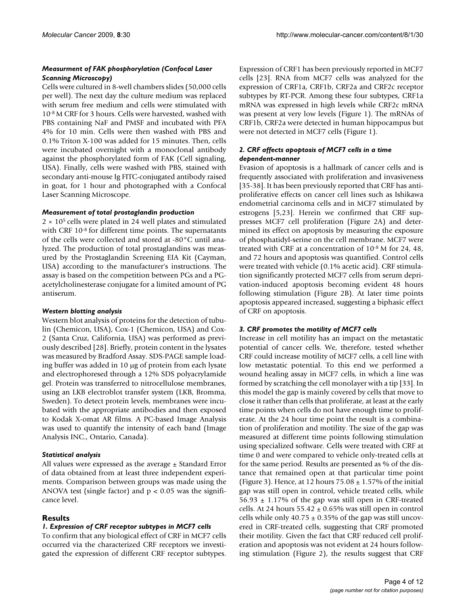#### *Measurment of FAK phosphorylation (Confocal Laser Scanning Microscopy)*

Cells were cultured in 8-well chambers slides (50,000 cells per well). The next day the culture medium was replaced with serum free medium and cells were stimulated with 10-8 M CRF for 3 hours. Cells were harvested, washed with PBS containing NaF and PMSF and incubated with PFA 4% for 10 min. Cells were then washed with PBS and 0.1% Triton X-100 was added for 15 minutes. Then, cells were incubated overnight with a monoclonal antibody against the phosphorylated form of FAK (Cell signaling, USA). Finally, cells were washed with PBS, stained with secondary anti-mouse Ig FITC-conjugated antibody raised in goat, for 1 hour and photographed with a Confocal Laser Scanning Microscope.

#### *Measurement of total prostaglandin production*

 $2 \times 10^5$  cells were plated in 24 well plates and stimulated with CRF 10<sup>-8</sup> for different time points. The supernatants of the cells were collected and stored at -80°C until analyzed. The production of total prostaglandins was measured by the Prostaglandin Screening EIA Kit (Cayman, USA) according to the manufacturer's instructions. The assay is based on the competition between PGs and a PGacetylcholinesterase conjugate for a limited amount of PG antiserum.

#### *Western blotting analysis*

Western blot analysis of proteins for the detection of tubulin (Chemicon, USA), Cox-1 (Chemicon, USA) and Cox-2 (Santa Cruz, California, USA) was performed as previously described [28]. Briefly, protein content in the lysates was measured by Bradford Assay. SDS-PAGE sample loading buffer was added in 10 μg of protein from each lysate and electrophoresed through a 12% SDS polyacrylamide gel. Protein was transferred to nitrocellulose membranes, using an LKB electroblot transfer system (LKB, Bromma, Sweden). To detect protein levels, membranes were incubated with the appropriate antibodies and then exposed to Kodak X-omat AR films. A PC-based Image Analysis was used to quantify the intensity of each band (Image Analysis INC., Ontario, Canada).

#### *Statistical analysis*

All values were expressed as the average ± Standard Error of data obtained from at least three independent experiments. Comparison between groups was made using the ANOVA test (single factor) and  $p < 0.05$  was the significance level.

#### **Results**

#### *1. Expression of CRF receptor subtypes in MCF7 cells*

To confirm that any biological effect of CRF in MCF7 cells occurred via the characterized CRF receptors we investigated the expression of different CRF receptor subtypes.

Expression of CRF1 has been previously reported in MCF7 cells [23]. RNA from MCF7 cells was analyzed for the expression of CRF1a, CRF1b, CRF2a and CRF2c receptor subtypes by RT-PCR. Among these four subtypes, CRF1a mRNA was expressed in high levels while CRF2c mRNA was present at very low levels (Figure 1). The mRNAs of CRF1b, CRF2a were detected in human hippocampus but were not detected in MCF7 cells (Figure 1).

### *2. CRF affects apoptosis of MCF7 cells in a time dependent-manner*

Evasion of apoptosis is a hallmark of cancer cells and is frequently associated with proliferation and invasiveness [35-38]. It has been previously reported that CRF has antiproliferative effects on cancer cell lines such as Ishikawa endometrial carcinoma cells and in MCF7 stimulated by estrogens [5,23]. Herein we confirmed that CRF suppresses MCF7 cell proliferation (Figure 2A) and determined its effect on apoptosis by measuring the exposure of phosphatidyl-serine on the cell membrane. MCF7 were treated with CRF at a concentration of 10-8 M for 24, 48, and 72 hours and apoptosis was quantified. Control cells were treated with vehicle (0.1% acetic acid). CRF stimulation significantly protected MCF7 cells from serum deprivation-induced apoptosis becoming evident 48 hours following stimulation (Figure 2B). At later time points apoptosis appeared increased, suggesting a biphasic effect of CRF on apoptosis.

#### *3. CRF promotes the motility of MCF7 cells*

Increase in cell motility has an impact on the metastatic potential of cancer cells. We, therefore, tested whether CRF could increase motility of MCF7 cells, a cell line with low metastatic potential. To this end we performed a wound healing assay in MCF7 cells, in which a line was formed by scratching the cell monolayer with a tip [33]. In this model the gap is mainly covered by cells that move to close it rather than cells that proliferate, at least at the early time points when cells do not have enough time to proliferate. At the 24 hour time point the result is a combination of proliferation and motility. The size of the gap was measured at different time points following stimulation using specialized software. Cells were treated with CRF at time 0 and were compared to vehicle only-treated cells at for the same period. Results are presented as % of the distance that remained open at that particular time point (Figure 3). Hence, at 12 hours  $75.08 \pm 1.57\%$  of the initial gap was still open in control, vehicle treated cells, while  $56.93 \pm 1.17\%$  of the gap was still open in CRF-treated cells. At 24 hours  $55.42 \pm 0.65\%$  was still open in control cells while only  $40.75 \pm 0.35\%$  of the gap was still uncovered in CRF-treated cells, suggesting that CRF promoted their motility. Given the fact that CRF reduced cell proliferation and apoptosis was not evident at 24 hours following stimulation (Figure 2), the results suggest that CRF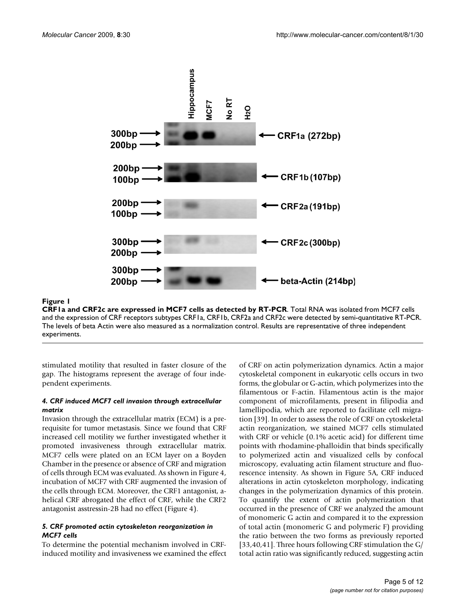

**CRF1a and CRF2c are expressed in MCF7 cells as detected by RT-PCR**. Total RNA was isolated from MCF7 cells and the expression of CRF receptors subtypes CRF1a, CRF1b, CRF2a and CRF2c were detected by semi-quantitative RT-PCR. The levels of beta Actin were also measured as a normalization control. Results are representative of three independent experiments.

stimulated motility that resulted in faster closure of the gap. The histograms represent the average of four independent experiments.

#### *4. CRF induced MCF7 cell invasion through extracellular matrix*

Invasion through the extracellular matrix (ECM) is a prerequisite for tumor metastasis. Since we found that CRF increased cell motility we further investigated whether it promoted invasiveness through extracellular matrix. MCF7 cells were plated on an ECM layer on a Boyden Chamber in the presence or absence of CRF and migration of cells through ECM was evaluated. As shown in Figure 4, incubation of MCF7 with CRF augmented the invasion of the cells through ECM. Moreover, the CRF1 antagonist, ahelical CRF abrogated the effect of CRF, while the CRF2 antagonist asstressin-2B had no effect (Figure 4).

#### *5. CRF promoted actin cytoskeleton reorganization in MCF7 cells*

To determine the potential mechanism involved in CRFinduced motility and invasiveness we examined the effect of CRF on actin polymerization dynamics. Actin a major cytoskeletal component in eukaryotic cells occurs in two forms, the globular or G-actin, which polymerizes into the filamentous or F-actin. Filamentous actin is the major component of microfilaments, present in filipodia and lamellipodia, which are reported to facilitate cell migration [39]. In order to assess the role of CRF on cytoskeletal actin reorganization, we stained MCF7 cells stimulated with CRF or vehicle (0.1% acetic acid) for different time points with rhodamine-phalloidin that binds specifically to polymerized actin and visualized cells by confocal microscopy, evaluating actin filament structure and fluorescence intensity. As shown in Figure 5A, CRF induced alterations in actin cytoskeleton morphology, indicating changes in the polymerization dynamics of this protein. To quantify the extent of actin polymerization that occurred in the presence of CRF we analyzed the amount of monomeric G actin and compared it to the expression of total actin (monomeric G and polymeric F) providing the ratio between the two forms as previously reported [33,40,41]. Three hours following CRF stimulation the G/ total actin ratio was significantly reduced, suggesting actin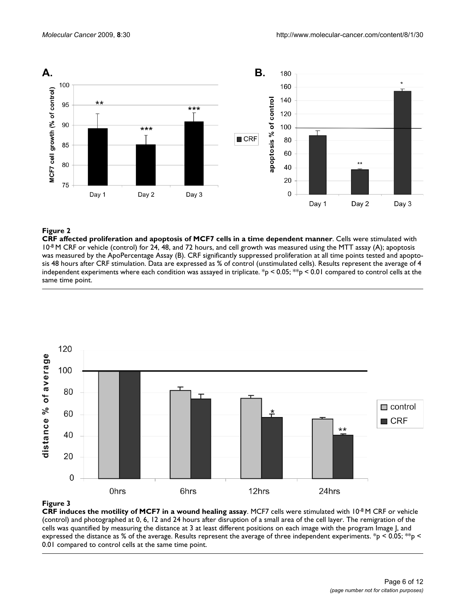

**CRF affected proliferation and apoptosis of MCF7 cells in a time dependent manner**. Cells were stimulated with 10<sup>-8</sup> M CRF or vehicle (control) for 24, 48, and 72 hours, and cell growth was measured using the MTT assay (A); apoptosis was measured by the ApoPercentage Assay (B). CRF significantly suppressed proliferation at all time points tested and apoptosis 48 hours after CRF stimulation. Data are expressed as % of control (unstimulated cells). Results represent the average of 4 independent experiments where each condition was assayed in triplicate. \*p < 0.05; \*\*p < 0.01 compared to control cells at the same time point.



#### Figure 3

**CRF induces the motility of MCF7 in a wound healing assay**. MCF7 cells were stimulated with 10-8 M CRF or vehicle (control) and photographed at 0, 6, 12 and 24 hours after disruption of a small area of the cell layer. The remigration of the cells was quantified by measuring the distance at 3 at least different positions on each image with the program Image J, and expressed the distance as % of the average. Results represent the average of three independent experiments. \*p < 0.05; \*\*p < 0.01 compared to control cells at the same time point.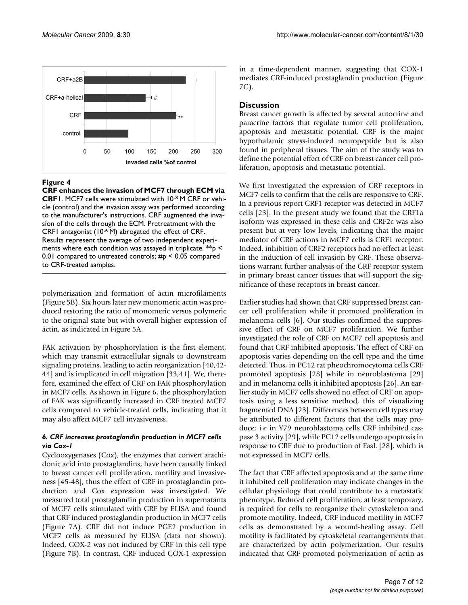

**CRF enhances the invasion of MCF7 through ECM via CRF1**. MCF7 cells were stimulated with 10-8 M CRF or vehicle (control) and the invasion assay was performed according to the manufacturer's instructions. CRF augmented the invasion of the cells through the ECM. Pretreatment with the CRF1 antagonist (10-6 M) abrogated the effect of CRF. Results represent the average of two independent experiments where each condition was assayed in triplicate.  $*$  $p$  < 0.01 compared to untreated controls; #p < 0.05 compared to CRF-treated samples.

polymerization and formation of actin microfilaments (Figure 5B). Six hours later new monomeric actin was produced restoring the ratio of monomeric versus polymeric to the original state but with overall higher expression of actin, as indicated in Figure 5A.

FAK activation by phosphorylation is the first element, which may transmit extracellular signals to downstream signaling proteins, leading to actin reorganization [40,42- 44] and is implicated in cell migration [33,41]. We, therefore, examined the effect of CRF on FAK phosphorylation in MCF7 cells. As shown in Figure 6, the phosphorylation of FAK was significantly increased in CRF treated MCF7 cells compared to vehicle-treated cells, indicating that it may also affect MCF7 cell invasiveness.

#### *6. CRF increases prostaglandin production in MCF7 cells via Cox-1*

Cyclooxygenases (Cox), the enzymes that convert arachidonic acid into prostaglandins, have been causally linked to breast cancer cell proliferation, motility and invasiveness [45-48], thus the effect of CRF in prostaglandin production and Cox expression was investigated. We measured total prostaglandin production in supernatants of MCF7 cells stimulated with CRF by ELISA and found that CRF induced prostaglandin production in MCF7 cells (Figure 7A). CRF did not induce PGE2 production in MCF7 cells as measured by ELISA (data not shown). Indeed, COX-2 was not induced by CRF in this cell type (Figure 7B). In contrast, CRF induced COX-1 expression

in a time-dependent manner, suggesting that COX-1 mediates CRF-induced prostaglandin production (Figure 7C).

#### **Discussion**

Breast cancer growth is affected by several autocrine and paracrine factors that regulate tumor cell proliferation, apoptosis and metastatic potential. CRF is the major hypothalamic stress-induced neuropeptide but is also found in peripheral tissues. The aim of the study was to define the potential effect of CRF on breast cancer cell proliferation, apoptosis and metastatic potential.

We first investigated the expression of CRF receptors in MCF7 cells to confirm that the cells are responsive to CRF. In a previous report CRF1 receptor was detected in MCF7 cells [23]. In the present study we found that the CRF1a isoform was expressed in these cells and CRF2c was also present but at very low levels, indicating that the major mediator of CRF actions in MCF7 cells is CRF1 receptor. Indeed, inhibition of CRF2 receptors had no effect at least in the induction of cell invasion by CRF. These observations warrant further analysis of the CRF receptor system in primary breast cancer tissues that will support the significance of these receptors in breast cancer.

Earlier studies had shown that CRF suppressed breast cancer cell proliferation while it promoted proliferation in melanoma cells [6]. Our studies confirmed the suppressive effect of CRF on MCF7 proliferation. We further investigated the role of CRF on MCF7 cell apoptosis and found that CRF inhibited apoptosis. The effect of CRF on apoptosis varies depending on the cell type and the time detected. Thus, in PC12 rat pheochromocytoma cells CRF promoted apoptosis [28] while in neuroblastoma [29] and in melanoma cells it inhibited apoptosis [26]. An earlier study in MCF7 cells showed no effect of CRF on apoptosis using a less sensitive method, this of visualizing fragmented DNA [23]. Differences between cell types may be attributed to different factors that the cells may produce; i.e in Y79 neuroblastoma cells CRF inhibited caspase 3 activity [29], while PC12 cells undergo apoptosis in response to CRF due to production of FasL [28], which is not expressed in MCF7 cells.

The fact that CRF affected apoptosis and at the same time it inhibited cell proliferation may indicate changes in the cellular physiology that could contribute to a metastatic phenotype. Reduced cell proliferation, at least temporary, is required for cells to reorganize their cytoskeleton and promote motility. Indeed, CRF induced motility in MCF7 cells as demonstrated by a wound-healing assay. Cell motility is facilitated by cytoskeletal rearrangements that are characterized by actin polymerization. Our results indicated that CRF promoted polymerization of actin as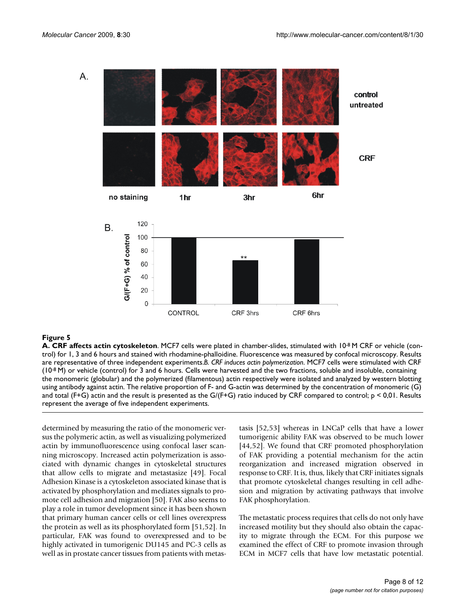

**A. CRF affects actin cytoskeleton**. MCF7 cells were plated in chamber-slides, stimulated with 10-8 M CRF or vehicle (control) for 1, 3 and 6 hours and stained with rhodamine-phalloidine. Fluorescence was measured by confocal microscopy. Results are representative of three independent experiments.*B. CRF induces actin polymerization*. MCF7 cells were stimulated with CRF  $(10^{-8}$  M) or vehicle (control) for 3 and 6 hours. Cells were harvested and the two fractions, soluble and insoluble, containing the monomeric (globular) and the polymerized (filamentous) actin respectively were isolated and analyzed by western blotting using antibody against actin. The relative proportion of F- and G-actin was determined by the concentration of monomeric (G) and total (F+G) actin and the result is presented as the  $G/(F+G)$  ratio induced by CRF compared to control;  $p < 0,01$ . Results represent the average of five independent experiments.

determined by measuring the ratio of the monomeric versus the polymeric actin, as well as visualizing polymerized actin by immunofluorescence using confocal laser scanning microscopy. Increased actin polymerization is associated with dynamic changes in cytoskeletal structures that allow cells to migrate and metastasize [49]. Focal Adhesion Kinase is a cytoskeleton associated kinase that is activated by phosphorylation and mediates signals to promote cell adhesion and migration [50]. FAK also seems to play a role in tumor development since it has been shown that primary human cancer cells or cell lines overexpress the protein as well as its phosphorylated form [51,52]. In particular, FAK was found to overexpressed and to be highly activated in tumorigenic DU145 and PC-3 cells as well as in prostate cancer tissues from patients with metastasis [52,53] whereas in LNCaP cells that have a lower tumorigenic ability FAK was observed to be much lower [44,52]. We found that CRF promoted phosphorylation of FAK providing a potential mechanism for the actin reorganization and increased migration observed in response to CRF. It is, thus, likely that CRF initiates signals that promote cytoskeletal changes resulting in cell adhesion and migration by activating pathways that involve FAK phosphorylation.

The metastatic process requires that cells do not only have increased motility but they should also obtain the capacity to migrate through the ECM. For this purpose we examined the effect of CRF to promote invasion through ECM in MCF7 cells that have low metastatic potential.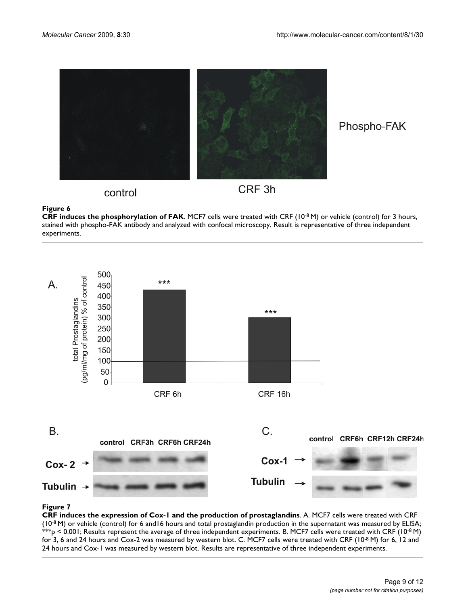

Phospho-FAK

# control

CRF<sub>3h</sub>

# **Figure 6**

**CRF induces the phosphorylation of FAK**. MCF7 cells were treated with CRF (10-8 M) or vehicle (control) for 3 hours, stained with phospho-FAK antibody and analyzed with confocal microscopy. Result is representative of three independent experiments.



# Figure 7

**CRF induces the expression of Cox-1 and the production of prostaglandins**. A. MCF7 cells were treated with CRF  $(10^{-8}$  M) or vehicle (control) for 6 and 16 hours and total prostaglandin production in the supernatant was measured by ELISA;  $^{*}\%$ p < 0.001; Results represent the average of three independent experiments. B. MCF7 cells were treated with CRF (10<sup>-8</sup> M) for 3, 6 and 24 hours and Cox-2 was measured by western blot. C. MCF7 cells were treated with CRF (10-8 M) for 6, 12 and 24 hours and Cox-1 was measured by western blot. Results are representative of three independent experiments.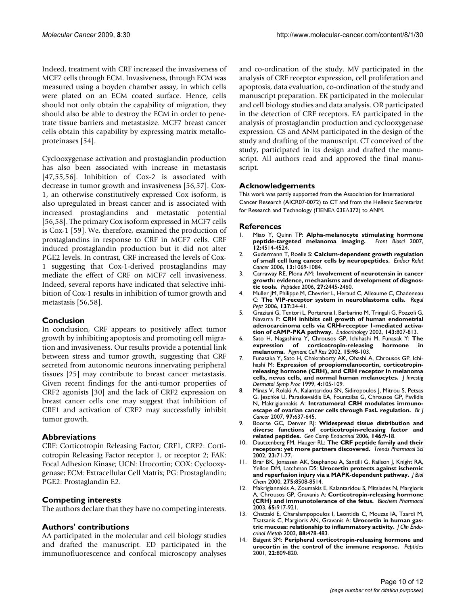Indeed, treatment with CRF increased the invasiveness of MCF7 cells through ECM. Invasiveness, through ECM was measured using a boyden chamber assay, in which cells were plated on an ECM coated surface. Hence, cells should not only obtain the capability of migration, they should also be able to destroy the ECM in order to penetrate tissue barriers and metastasize. MCF7 breast cancer cells obtain this capability by expressing matrix metalloproteinases [54].

Cyclooxygenase activation and prostaglandin production has also been associated with increase in metastasis [47,55,56]. Inhibition of Cox-2 is associated with decrease in tumor growth and invasiveness [56,57]. Cox-1, an otherwise constitutively expressed Cox isoform, is also upregulated in breast cancer and is associated with increased prostaglandins and metastatic potential [56,58]. The primary Cox isoform expressed in MCF7 cells is Cox-1 [59]. We, therefore, examined the production of prostaglandins in response to CRF in MCF7 cells. CRF induced prostaglandin production but it did not alter PGE2 levels. In contrast, CRF increased the levels of Cox-1 suggesting that Cox-1-derived prostaglandins may mediate the effect of CRF on MCF7 cell invasiveness. Indeed, several reports have indicated that selective inhibition of Cox-1 results in inhibition of tumor growth and metastasis [56,58].

#### **Conclusion**

In conclusion, CRF appears to positively affect tumor growth by inhibiting apoptosis and promoting cell migration and invasiveness. Our results provide a potential link between stress and tumor growth, suggesting that CRF secreted from autonomic neurons innervating peripheral tissues [25] may contribute to breast cancer metastasis. Given recent findings for the anti-tumor properties of CRF2 agonists [30] and the lack of CRF2 expression on breast cancer cells one may suggest that inhibition of CRF1 and activation of CRF2 may successfully inhibit tumor growth.

#### **Abbreviations**

CRF: Corticotropin Releasing Factor; CRF1, CRF2: Corticotropin Releasing Factor receptor 1, or receptor 2; FAK: Focal Adhesion Kinase; UCN: Urocortin; COX: Cyclooxygenase; ECM: Extracellular Cell Matrix; PG: Prostaglandin; PGE2: Prostaglandin E2.

#### **Competing interests**

The authors declare that they have no competing interests.

#### **Authors' contributions**

AA participated in the molecular and cell biology studies and drafted the manuscript. ED participated in the immunofluorescence and confocal microscopy analyses and co-ordination of the study. MV participated in the analysis of CRF receptor expression, cell proliferation and apoptosis, data evaluation, co-ordination of the study and manuscript preparation. EK participated in the molecular and cell biology studies and data analysis. OR participated in the detection of CRF receptors. EA participated in the analysis of prostaglandin production and cyclooxygenase expression. CS and ANM participated in the design of the study and drafting of the manuscript. CT conceived of the study, participated in its design and drafted the manuscript. All authors read and approved the final manuscript.

#### **Acknowledgements**

This work was partly supported from the Association for International Cancer Research (AICR07-0072) to CT and from the Hellenic Secretariat for Research and Technology (ΠENEΔ 03EΔ372) to ANM.

#### **References**

- 1. Miao Y, Quinn TP: **[Alpha-melanocyte stimulating hormone](http://www.ncbi.nlm.nih.gov/entrez/query.fcgi?cmd=Retrieve&db=PubMed&dopt=Abstract&list_uids=17485393)** [peptide-targeted melanoma imaging.](http://www.ncbi.nlm.nih.gov/entrez/query.fcgi?cmd=Retrieve&db=PubMed&dopt=Abstract&list_uids=17485393) **12:**4514-4524.
- 2. Gudermann T, Roelle S: **[Calcium-dependent growth regulation](http://www.ncbi.nlm.nih.gov/entrez/query.fcgi?cmd=Retrieve&db=PubMed&dopt=Abstract&list_uids=17158754) [of small cell lung cancer cells by neuropeptides.](http://www.ncbi.nlm.nih.gov/entrez/query.fcgi?cmd=Retrieve&db=PubMed&dopt=Abstract&list_uids=17158754)** *Endocr Relat Cancer* 2006, **13:**1069-1084.
- 3. Carraway RE, Plona AM: **[Involvement of neurotensin in cancer](http://www.ncbi.nlm.nih.gov/entrez/query.fcgi?cmd=Retrieve&db=PubMed&dopt=Abstract&list_uids=16887236) [growth: evidence, mechanisms and development of diagnos](http://www.ncbi.nlm.nih.gov/entrez/query.fcgi?cmd=Retrieve&db=PubMed&dopt=Abstract&list_uids=16887236)[tic tools.](http://www.ncbi.nlm.nih.gov/entrez/query.fcgi?cmd=Retrieve&db=PubMed&dopt=Abstract&list_uids=16887236)** *Peptides* 2006, **27:**2445-2460.
- Muller JM, Philippe M, Chevrier L, Heraud C, Alleaume C, Chadeneau C: **[The VIP-receptor system in neuroblastoma cells.](http://www.ncbi.nlm.nih.gov/entrez/query.fcgi?cmd=Retrieve&db=PubMed&dopt=Abstract&list_uids=16989911)** *Regul Pept* 2006, **137:**34-41.
- 5. Graziani G, Tentori L, Portarena I, Barbarino M, Tringali G, Pozzoli G, Navarra P: **[CRH inhibits cell growth of human endometrial](http://www.ncbi.nlm.nih.gov/entrez/query.fcgi?cmd=Retrieve&db=PubMed&dopt=Abstract&list_uids=11861501) [adenocarcinoma cells via CRH-receptor 1-mediated activa](http://www.ncbi.nlm.nih.gov/entrez/query.fcgi?cmd=Retrieve&db=PubMed&dopt=Abstract&list_uids=11861501)[tion of cAMP-PKA pathway.](http://www.ncbi.nlm.nih.gov/entrez/query.fcgi?cmd=Retrieve&db=PubMed&dopt=Abstract&list_uids=11861501)** *Endocrinology* 2002, **143:**807-813.
- 6. Sato H, Nagashima Y, Chrousos GP, Ichihashi M, Funasak Y: **[The](http://www.ncbi.nlm.nih.gov/entrez/query.fcgi?cmd=Retrieve&db=PubMed&dopt=Abstract&list_uids=11936276)** expression of corticotropin-releasing hormone **[melanoma.](http://www.ncbi.nlm.nih.gov/entrez/query.fcgi?cmd=Retrieve&db=PubMed&dopt=Abstract&list_uids=11936276)** *Pigment Cell Res* 2002, **15:**98-103.
- 7. Funasaka Y, Sato H, Chakraborty AK, Ohashi A, Chrousos GP, Ichihashi M: **[Expression of proopiomelanocortin, corticotropin](http://www.ncbi.nlm.nih.gov/entrez/query.fcgi?cmd=Retrieve&db=PubMed&dopt=Abstract&list_uids=10536983)[releasing hormone \(CRH\), and CRH receptor in melanoma](http://www.ncbi.nlm.nih.gov/entrez/query.fcgi?cmd=Retrieve&db=PubMed&dopt=Abstract&list_uids=10536983) [cells, nevus cells, and normal human melanocytes.](http://www.ncbi.nlm.nih.gov/entrez/query.fcgi?cmd=Retrieve&db=PubMed&dopt=Abstract&list_uids=10536983)** *J Investig Dermatol Symp Proc* 1999, **4:**105-109.
- 8. Minas V, Rolaki A, Kalantaridou SN, Sidiropoulos J, Mitrou S, Petsas G, Jeschke U, Paraskevaidis EA, Fountzilas G, Chrousos GP, Pavlidis N, Makrigiannakis A: **[Intratumoral CRH modulates immuno](http://www.ncbi.nlm.nih.gov/entrez/query.fcgi?cmd=Retrieve&db=PubMed&dopt=Abstract&list_uids=17667919)[escape of ovarian cancer cells through FasL regulation.](http://www.ncbi.nlm.nih.gov/entrez/query.fcgi?cmd=Retrieve&db=PubMed&dopt=Abstract&list_uids=17667919)** *Br J Cancer* 2007, **97:**637-645.
- 9. Boorse GC, Denver RJ: **[Widespread tissue distribution and](http://www.ncbi.nlm.nih.gov/entrez/query.fcgi?cmd=Retrieve&db=PubMed&dopt=Abstract&list_uids=16413023) [diverse functions of corticotropin-releasing factor and](http://www.ncbi.nlm.nih.gov/entrez/query.fcgi?cmd=Retrieve&db=PubMed&dopt=Abstract&list_uids=16413023) [related peptides.](http://www.ncbi.nlm.nih.gov/entrez/query.fcgi?cmd=Retrieve&db=PubMed&dopt=Abstract&list_uids=16413023)** *Gen Comp Endocrinol* 2006, **146:**9-18.
- 10. Dautzenberg FM, Hauger RL: **[The CRF peptide family and their](http://www.ncbi.nlm.nih.gov/entrez/query.fcgi?cmd=Retrieve&db=PubMed&dopt=Abstract&list_uids=11830263) [receptors: yet more partners discovered.](http://www.ncbi.nlm.nih.gov/entrez/query.fcgi?cmd=Retrieve&db=PubMed&dopt=Abstract&list_uids=11830263)** *Trends Pharmacol Sci* 2002, **23:**71-77.
- 11. Brar BK, Jonassen AK, Stephanou A, Santilli G, Railson J, Knight RA, Yellon DM, Latchman DS: **[Urocortin protects against ischemic](http://www.ncbi.nlm.nih.gov/entrez/query.fcgi?cmd=Retrieve&db=PubMed&dopt=Abstract&list_uids=10722688) [and reperfusion injury via a MAPK-dependent pathway.](http://www.ncbi.nlm.nih.gov/entrez/query.fcgi?cmd=Retrieve&db=PubMed&dopt=Abstract&list_uids=10722688)** *J Biol Chem* 2000, **275:**8508-8514.
- 12. Makrigiannakis A, Zoumakis E, Kalantaridou S, Mitsiades N, Margioris A, Chrousos GP, Gravanis A: **[Corticotropin-releasing hormone](http://www.ncbi.nlm.nih.gov/entrez/query.fcgi?cmd=Retrieve&db=PubMed&dopt=Abstract&list_uids=12623122) [\(CRH\) and immunotolerance of the fetus.](http://www.ncbi.nlm.nih.gov/entrez/query.fcgi?cmd=Retrieve&db=PubMed&dopt=Abstract&list_uids=12623122)** *Biochem Pharmacol* 2003, **65:**917-921.
- 13. Chatzaki E, Charalampopoulos I, Leontidis C, Mouzas IA, Tzardi M, Tsatsanis C, Margioris AN, Gravanis A: **[Urocortin in human gas](http://www.ncbi.nlm.nih.gov/entrez/query.fcgi?cmd=Retrieve&db=PubMed&dopt=Abstract&list_uids=12519893)[tric mucosa: relationship to inflammatory activity.](http://www.ncbi.nlm.nih.gov/entrez/query.fcgi?cmd=Retrieve&db=PubMed&dopt=Abstract&list_uids=12519893)** *J Clin Endocrinol Metab* 2003, **88:**478-483.
- 14. Baigent SM: **[Peripheral corticotropin-releasing hormone and](http://www.ncbi.nlm.nih.gov/entrez/query.fcgi?cmd=Retrieve&db=PubMed&dopt=Abstract&list_uids=11337095) [urocortin in the control of the immune response.](http://www.ncbi.nlm.nih.gov/entrez/query.fcgi?cmd=Retrieve&db=PubMed&dopt=Abstract&list_uids=11337095)** *Peptides* 2001, **22:**809-820.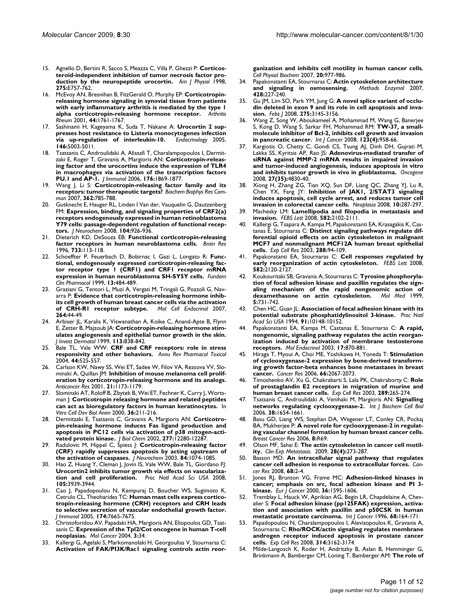- 15. Agnello D, Bertini R, Sacco S, Meazza C, Villa P, Ghezzi P: **[Corticos](http://www.ncbi.nlm.nih.gov/entrez/query.fcgi?cmd=Retrieve&db=PubMed&dopt=Abstract&list_uids=9814993)[teroid-independent inhibition of tumor necrosis factor pro](http://www.ncbi.nlm.nih.gov/entrez/query.fcgi?cmd=Retrieve&db=PubMed&dopt=Abstract&list_uids=9814993)[duction by the neuropeptide urocortin.](http://www.ncbi.nlm.nih.gov/entrez/query.fcgi?cmd=Retrieve&db=PubMed&dopt=Abstract&list_uids=9814993)** *Am J Physiol* 1998, **275:**E757-762.
- 16. McEvoy AN, Bresnihan B, FitzGerald O, Murphy EP: **[Corticotropin](http://www.ncbi.nlm.nih.gov/entrez/query.fcgi?cmd=Retrieve&db=PubMed&dopt=Abstract&list_uids=11508426)[releasing hormone signaling in synovial tissue from patients](http://www.ncbi.nlm.nih.gov/entrez/query.fcgi?cmd=Retrieve&db=PubMed&dopt=Abstract&list_uids=11508426) with early inflammatory arthritis is mediated by the type 1 [alpha corticotropin-releasing hormone receptor.](http://www.ncbi.nlm.nih.gov/entrez/query.fcgi?cmd=Retrieve&db=PubMed&dopt=Abstract&list_uids=11508426)** *Arthritis Rheum* 2001, **44:**1761-1767.
- 17. Sashinami H, Kageyama K, Suda T, Nakane A: **[Urocortin 2 sup](http://www.ncbi.nlm.nih.gov/entrez/query.fcgi?cmd=Retrieve&db=PubMed&dopt=Abstract&list_uids=16081642)[presses host resistance to Listeria monocytogenes infection](http://www.ncbi.nlm.nih.gov/entrez/query.fcgi?cmd=Retrieve&db=PubMed&dopt=Abstract&list_uids=16081642) [via up-regulation of interleukin-10.](http://www.ncbi.nlm.nih.gov/entrez/query.fcgi?cmd=Retrieve&db=PubMed&dopt=Abstract&list_uids=16081642)** *Endocrinology* 2005, **146:**5003-5011.
- 18. Tsatsanis C, Androulidaki A, Alissafi T, Charalampopoulos I, Dermitzaki E, Roger T, Gravanis A, Margioris AN: **[Corticotropin-releas](http://www.ncbi.nlm.nih.gov/entrez/query.fcgi?cmd=Retrieve&db=PubMed&dopt=Abstract&list_uids=16424218)[ing factor and the urocortins induce the expression of TLR4](http://www.ncbi.nlm.nih.gov/entrez/query.fcgi?cmd=Retrieve&db=PubMed&dopt=Abstract&list_uids=16424218) in macrophages via activation of the transcription factors [PU.1 and AP-1.](http://www.ncbi.nlm.nih.gov/entrez/query.fcgi?cmd=Retrieve&db=PubMed&dopt=Abstract&list_uids=16424218)** *J Immunol* 2006, **176:**1869-1877.
- 19. Wang J, Li S: **[Corticotropin-releasing factor family and its](http://www.ncbi.nlm.nih.gov/entrez/query.fcgi?cmd=Retrieve&db=PubMed&dopt=Abstract&list_uids=17822675) [receptors: tumor therapeutic targets?](http://www.ncbi.nlm.nih.gov/entrez/query.fcgi?cmd=Retrieve&db=PubMed&dopt=Abstract&list_uids=17822675)** *Biochem Biophys Res Commun* 2007, **362:**785-788.
- Gutknecht E, Hauger RL, Linden I Van der, Vauquelin G, Dautzenberg FM: **[Expression, binding, and signaling properties of CRF2\(a\)](http://www.ncbi.nlm.nih.gov/entrez/query.fcgi?cmd=Retrieve&db=PubMed&dopt=Abstract&list_uids=17976162) [receptors endogenously expressed in human retinoblastoma](http://www.ncbi.nlm.nih.gov/entrez/query.fcgi?cmd=Retrieve&db=PubMed&dopt=Abstract&list_uids=17976162) Y79 cells: passage-dependent regulation of functional recep[tors.](http://www.ncbi.nlm.nih.gov/entrez/query.fcgi?cmd=Retrieve&db=PubMed&dopt=Abstract&list_uids=17976162)** *J Neurochem* 2008, **104:**926-936.
- 21. Dieterich KD, DeSouza EB: **[Functional corticotropin-releasing](http://www.ncbi.nlm.nih.gov/entrez/query.fcgi?cmd=Retrieve&db=PubMed&dopt=Abstract&list_uids=8891255) [factor receptors in human neuroblastoma cells.](http://www.ncbi.nlm.nih.gov/entrez/query.fcgi?cmd=Retrieve&db=PubMed&dopt=Abstract&list_uids=8891255)** *Brain Res* 1996, **733:**113-118.
- 22. Schoeffter P, Feuerbach D, Bobirnac I, Gazi L, Longato R: **[Func](http://www.ncbi.nlm.nih.gov/entrez/query.fcgi?cmd=Retrieve&db=PubMed&dopt=Abstract&list_uids=10456290)[tional, endogenously expressed corticotropin-releasing fac](http://www.ncbi.nlm.nih.gov/entrez/query.fcgi?cmd=Retrieve&db=PubMed&dopt=Abstract&list_uids=10456290)tor receptor type 1 (CRF1) and CRF1 receptor mRNA [expression in human neuroblastoma SH-SY5Y cells.](http://www.ncbi.nlm.nih.gov/entrez/query.fcgi?cmd=Retrieve&db=PubMed&dopt=Abstract&list_uids=10456290)** *Fundam Clin Pharmacol* 1999, **13:**484-489.
- 23. Graziani G, Tentori L, Muzi A, Vergati M, Tringali G, Pozzoli G, Navarra P: **[Evidence that corticotropin-releasing hormone inhib](http://www.ncbi.nlm.nih.gov/entrez/query.fcgi?cmd=Retrieve&db=PubMed&dopt=Abstract&list_uids=17097220)[its cell growth of human breast cancer cells via the activation](http://www.ncbi.nlm.nih.gov/entrez/query.fcgi?cmd=Retrieve&db=PubMed&dopt=Abstract&list_uids=17097220) [of CRH-R1 receptor subtype.](http://www.ncbi.nlm.nih.gov/entrez/query.fcgi?cmd=Retrieve&db=PubMed&dopt=Abstract&list_uids=17097220)** *Mol Cell Endocrinol* 2007, **264:**44-49.
- Arbiser JL, Karalis K, Viswanathan A, Koike C, Anand-Apte B, Flynn E, Zetter B, Majzoub JA: **[Corticotropin-releasing hormone stim](http://www.ncbi.nlm.nih.gov/entrez/query.fcgi?cmd=Retrieve&db=PubMed&dopt=Abstract&list_uids=10571742)[ulates angiogenesis and epithelial tumor growth in the skin.](http://www.ncbi.nlm.nih.gov/entrez/query.fcgi?cmd=Retrieve&db=PubMed&dopt=Abstract&list_uids=10571742)** *J Invest Dermatol* 1999, **113:**838-842.
- 25. Bale TL, Vale WW: **[CRF and CRF receptors: role in stress](http://www.ncbi.nlm.nih.gov/entrez/query.fcgi?cmd=Retrieve&db=PubMed&dopt=Abstract&list_uids=14744257) [responsivity and other behaviors.](http://www.ncbi.nlm.nih.gov/entrez/query.fcgi?cmd=Retrieve&db=PubMed&dopt=Abstract&list_uids=14744257)** *Annu Rev Pharmacol Toxicol* 2004, **44:**525-557.
- 26. Carlson KW, Nawy SS, Wei ET, Sadee W, Filov VA, Rezsova VV, Slominski A, Quillan JM: **[Inhibition of mouse melanoma cell prolif](http://www.ncbi.nlm.nih.gov/entrez/query.fcgi?cmd=Retrieve&db=PubMed&dopt=Abstract&list_uids=11396159)[eration by corticotropin-releasing hormone and its analogs.](http://www.ncbi.nlm.nih.gov/entrez/query.fcgi?cmd=Retrieve&db=PubMed&dopt=Abstract&list_uids=11396159)** *Anticancer Res* 2001, **21:**1173-1179.
- 27. Slominski AT, Roloff B, Zbytek B, Wei ET, Fechner K, Curry J, Wortsman J: **[Corticotropin releasing hormone and related peptides](http://www.ncbi.nlm.nih.gov/entrez/query.fcgi?cmd=Retrieve&db=PubMed&dopt=Abstract&list_uids=10777063) [can act as bioregulatory factors in human keratinocytes.](http://www.ncbi.nlm.nih.gov/entrez/query.fcgi?cmd=Retrieve&db=PubMed&dopt=Abstract&list_uids=10777063)** In *Vitro Cell Dev Biol Anim* 2000, **36:**211-216.
- 28. Dermitzaki E, Tsatsanis C, Gravanis A, Margioris AN: **[Corticotro](http://www.ncbi.nlm.nih.gov/entrez/query.fcgi?cmd=Retrieve&db=PubMed&dopt=Abstract&list_uids=11790788)[pin-releasing hormone induces Fas ligand production and](http://www.ncbi.nlm.nih.gov/entrez/query.fcgi?cmd=Retrieve&db=PubMed&dopt=Abstract&list_uids=11790788) apoptosis in PC12 cells via activation of p38 mitogen-acti[vated protein kinase.](http://www.ncbi.nlm.nih.gov/entrez/query.fcgi?cmd=Retrieve&db=PubMed&dopt=Abstract&list_uids=11790788)** *J Biol Chem* 2002, **277:**12280-12287.
- 29. Radulovic M, Hippel C, Spiess J: **[Corticotropin-releasing factor](http://www.ncbi.nlm.nih.gov/entrez/query.fcgi?cmd=Retrieve&db=PubMed&dopt=Abstract&list_uids=12603831) [\(CRF\) rapidly suppresses apoptosis by acting upstream of](http://www.ncbi.nlm.nih.gov/entrez/query.fcgi?cmd=Retrieve&db=PubMed&dopt=Abstract&list_uids=12603831) [the activation of caspases.](http://www.ncbi.nlm.nih.gov/entrez/query.fcgi?cmd=Retrieve&db=PubMed&dopt=Abstract&list_uids=12603831)** *J Neurochem* 2003, **84:**1074-1085.
- 30. Hao Z, Huang Y, Cleman J, Jovin IS, Vale WW, Bale TL, Giordano FJ: **[Urocortin2 inhibits tumor growth via effects on vasculariza](http://www.ncbi.nlm.nih.gov/entrez/query.fcgi?cmd=Retrieve&db=PubMed&dopt=Abstract&list_uids=18308934)[tion and cell proliferation.](http://www.ncbi.nlm.nih.gov/entrez/query.fcgi?cmd=Retrieve&db=PubMed&dopt=Abstract&list_uids=18308934)** *Proc Natl Acad Sci USA* 2008, **105:**3939-3944.
- Cao J, Papadopoulou N, Kempuraj D, Boucher WS, Sugimoto K, Cetrulo CL, Theoharides TC: **[Human mast cells express cortico](http://www.ncbi.nlm.nih.gov/entrez/query.fcgi?cmd=Retrieve&db=PubMed&dopt=Abstract&list_uids=15944267)tropin-releasing hormone (CRH) receptors and CRH leads [to selective secretion of vascular endothelial growth factor.](http://www.ncbi.nlm.nih.gov/entrez/query.fcgi?cmd=Retrieve&db=PubMed&dopt=Abstract&list_uids=15944267)** *J Immunol* 2005, **174:**7665-7675.
- 32. Christoforidou AV, Papadaki HA, Margioris AN, Eliopoulos GD, Tsatsanis C: **[Expression of the Tpl2/Cot oncogene in human T-cell](http://www.ncbi.nlm.nih.gov/entrez/query.fcgi?cmd=Retrieve&db=PubMed&dopt=Abstract&list_uids=15575964) [neoplasias.](http://www.ncbi.nlm.nih.gov/entrez/query.fcgi?cmd=Retrieve&db=PubMed&dopt=Abstract&list_uids=15575964)** *Mol Cancer* 2004, **3:**34.
- 33. Kallergi G, Agelaki S, Markomanolaki H, Georgoulias V, Stournaras C: **[Activation of FAK/PI3K/Rac1 signaling controls actin reor-](http://www.ncbi.nlm.nih.gov/entrez/query.fcgi?cmd=Retrieve&db=PubMed&dopt=Abstract&list_uids=17982280)**

**[ganization and inhibits cell motility in human cancer cells.](http://www.ncbi.nlm.nih.gov/entrez/query.fcgi?cmd=Retrieve&db=PubMed&dopt=Abstract&list_uids=17982280)** *Cell Physiol Biochem* 2007, **20:**977-986.

- 34. Papakonstanti EA, Stournaras C: **[Actin cytoskeleton architecture](http://www.ncbi.nlm.nih.gov/entrez/query.fcgi?cmd=Retrieve&db=PubMed&dopt=Abstract&list_uids=17875420) [and signaling in osmosensing.](http://www.ncbi.nlm.nih.gov/entrez/query.fcgi?cmd=Retrieve&db=PubMed&dopt=Abstract&list_uids=17875420)** *Methods Enzymol* 2007, **428:**227-240.
- 35. Gu JM, Lim SO, Park YM, Jung G: **[A novel splice variant of occlu](http://www.ncbi.nlm.nih.gov/entrez/query.fcgi?cmd=Retrieve&db=PubMed&dopt=Abstract&list_uids=18489585)[din deleted in exon 9 and its role in cell apoptosis and inva](http://www.ncbi.nlm.nih.gov/entrez/query.fcgi?cmd=Retrieve&db=PubMed&dopt=Abstract&list_uids=18489585)[sion.](http://www.ncbi.nlm.nih.gov/entrez/query.fcgi?cmd=Retrieve&db=PubMed&dopt=Abstract&list_uids=18489585)** *Febs J* 2008, **275:**3145-3156.
- 36. Wang Z, Song W, Aboukameel A, Mohammad M, Wang G, Banerjee S, Kong D, Wang S, Sarkar FH, Mohammad RM: **[TW-37, a small](http://www.ncbi.nlm.nih.gov/entrez/query.fcgi?cmd=Retrieve&db=PubMed&dopt=Abstract&list_uids=18528859)[molecule inhibitor of Bcl-2, inhibits cell growth and invasion](http://www.ncbi.nlm.nih.gov/entrez/query.fcgi?cmd=Retrieve&db=PubMed&dopt=Abstract&list_uids=18528859) [in pancreatic cancer.](http://www.ncbi.nlm.nih.gov/entrez/query.fcgi?cmd=Retrieve&db=PubMed&dopt=Abstract&list_uids=18528859)** *Int J Cancer* 2008, **123(4):**958-66.
- Kargiotis O, Chetty C, Gondi CS, Tsung AJ, Dinh DH, Gujrati M, Lakka SS, Kyritsis AP, Rao JS: **[Adenovirus-mediated transfer of](http://www.ncbi.nlm.nih.gov/entrez/query.fcgi?cmd=Retrieve&db=PubMed&dopt=Abstract&list_uids=18438431) [siRNA against MMP-2 mRNA results in impaired invasion](http://www.ncbi.nlm.nih.gov/entrez/query.fcgi?cmd=Retrieve&db=PubMed&dopt=Abstract&list_uids=18438431) and tumor-induced angiogenesis, induces apoptosis in vitro [and inhibits tumor growth in vivo in glioblastoma.](http://www.ncbi.nlm.nih.gov/entrez/query.fcgi?cmd=Retrieve&db=PubMed&dopt=Abstract&list_uids=18438431)** *Oncogene* 2008, **27(35):**4830-40.
- 38. Xiong H, Zhang ZG, Tian XQ, Sun DF, Liang QC, Zhang YJ, Lu R, Chen YX, Fang JY: **[Inhibition of JAK1, 2/STAT3 signaling](http://www.ncbi.nlm.nih.gov/entrez/query.fcgi?cmd=Retrieve&db=PubMed&dopt=Abstract&list_uids=18320073) [induces apoptosis, cell cycle arrest, and reduces tumor cell](http://www.ncbi.nlm.nih.gov/entrez/query.fcgi?cmd=Retrieve&db=PubMed&dopt=Abstract&list_uids=18320073) [invasion in colorectal cancer cells.](http://www.ncbi.nlm.nih.gov/entrez/query.fcgi?cmd=Retrieve&db=PubMed&dopt=Abstract&list_uids=18320073)** *Neoplasia* 2008, **10:**287-297.
- 39. Machesky LM: **[Lamellipodia and filopodia in metastasis and](http://www.ncbi.nlm.nih.gov/entrez/query.fcgi?cmd=Retrieve&db=PubMed&dopt=Abstract&list_uids=18396168) [invasion.](http://www.ncbi.nlm.nih.gov/entrez/query.fcgi?cmd=Retrieve&db=PubMed&dopt=Abstract&list_uids=18396168)** *FEBS Lett* 2008, **582:**2102-2111.
- 40. Kallergi G, Tsapara A, Kampa M, Papakonstanti EA, Krasagakis K, Castanas E, Stournaras C: **[Distinct signaling pathways regulate dif](http://www.ncbi.nlm.nih.gov/entrez/query.fcgi?cmd=Retrieve&db=PubMed&dopt=Abstract&list_uids=12878162)[ferential opioid effects on actin cytoskeleton in malignant](http://www.ncbi.nlm.nih.gov/entrez/query.fcgi?cmd=Retrieve&db=PubMed&dopt=Abstract&list_uids=12878162) MCF7 and nonmalignant MCF12A human breast epithelial [cells.](http://www.ncbi.nlm.nih.gov/entrez/query.fcgi?cmd=Retrieve&db=PubMed&dopt=Abstract&list_uids=12878162)** *Exp Cell Res* 2003, **288:**94-109.
- 41. Papakonstanti EA, Stournaras C: **[Cell responses regulated by](http://www.ncbi.nlm.nih.gov/entrez/query.fcgi?cmd=Retrieve&db=PubMed&dopt=Abstract&list_uids=18325339) [early reorganization of actin cytoskeleton.](http://www.ncbi.nlm.nih.gov/entrez/query.fcgi?cmd=Retrieve&db=PubMed&dopt=Abstract&list_uids=18325339)** *FEBS Lett* 2008, **582:**2120-2127.
- 42. Koukouritaki SB, Gravanis A, Stournaras C: **[Tyrosine phosphoryla](http://www.ncbi.nlm.nih.gov/entrez/query.fcgi?cmd=Retrieve&db=PubMed&dopt=Abstract&list_uids=10656875)[tion of focal adhesion kinase and paxillin regulates the sign](http://www.ncbi.nlm.nih.gov/entrez/query.fcgi?cmd=Retrieve&db=PubMed&dopt=Abstract&list_uids=10656875)aling mechanism of the rapid nongenomic action of [dexamethasone on actin cytoskeleton.](http://www.ncbi.nlm.nih.gov/entrez/query.fcgi?cmd=Retrieve&db=PubMed&dopt=Abstract&list_uids=10656875)** *Mol Med* 1999, **5:**731-742.
- 43. Chen HC, Guan JL: **[Association of focal adhesion kinase with its](http://www.ncbi.nlm.nih.gov/entrez/query.fcgi?cmd=Retrieve&db=PubMed&dopt=Abstract&list_uids=7937853) [potential substrate phosphatidylinositol 3-kinase.](http://www.ncbi.nlm.nih.gov/entrez/query.fcgi?cmd=Retrieve&db=PubMed&dopt=Abstract&list_uids=7937853)** *Proc Natl Acad Sci USA* 1994, **91:**10148-10152.
- 44. Papakonstanti EA, Kampa M, Castanas E, Stournaras C: **[A rapid,](http://www.ncbi.nlm.nih.gov/entrez/query.fcgi?cmd=Retrieve&db=PubMed&dopt=Abstract&list_uids=12554777) [nongenomic, signaling pathway regulates the actin reorgan](http://www.ncbi.nlm.nih.gov/entrez/query.fcgi?cmd=Retrieve&db=PubMed&dopt=Abstract&list_uids=12554777)ization induced by activation of membrane testosterone [receptors.](http://www.ncbi.nlm.nih.gov/entrez/query.fcgi?cmd=Retrieve&db=PubMed&dopt=Abstract&list_uids=12554777)** *Mol Endocrinol* 2003, **17:**870-881.
- 45. Hiraga T, Myoui A, Choi ME, Yoshikawa H, Yoneda T: **[Stimulation](http://www.ncbi.nlm.nih.gov/entrez/query.fcgi?cmd=Retrieve&db=PubMed&dopt=Abstract&list_uids=16489006) [of cyclooxygenase-2 expression by bone-derived transform](http://www.ncbi.nlm.nih.gov/entrez/query.fcgi?cmd=Retrieve&db=PubMed&dopt=Abstract&list_uids=16489006)ing growth factor-beta enhances bone metastases in breast [cancer.](http://www.ncbi.nlm.nih.gov/entrez/query.fcgi?cmd=Retrieve&db=PubMed&dopt=Abstract&list_uids=16489006)** *Cancer Res* 2006, **66:**2067-2073.
- 46. Timoshenko AV, Xu G, Chakrabarti S, Lala PK, Chakraborty C: **[Role](http://www.ncbi.nlm.nih.gov/entrez/query.fcgi?cmd=Retrieve&db=PubMed&dopt=Abstract&list_uids=14499627) [of prostaglandin E2 receptors in migration of murine and](http://www.ncbi.nlm.nih.gov/entrez/query.fcgi?cmd=Retrieve&db=PubMed&dopt=Abstract&list_uids=14499627) [human breast cancer cells.](http://www.ncbi.nlm.nih.gov/entrez/query.fcgi?cmd=Retrieve&db=PubMed&dopt=Abstract&list_uids=14499627)** *Exp Cell Res* 2003, **289:**265-274.
- 47. Tsatsanis C, Androulidaki A, Venihaki M, Margioris AN: **[Signalling](http://www.ncbi.nlm.nih.gov/entrez/query.fcgi?cmd=Retrieve&db=PubMed&dopt=Abstract&list_uids=16713323) [networks regulating cyclooxygenase-2.](http://www.ncbi.nlm.nih.gov/entrez/query.fcgi?cmd=Retrieve&db=PubMed&dopt=Abstract&list_uids=16713323)** *Int J Biochem Cell Biol* 2006, **38:**1654-1661.
- 48. Basu GD, Liang WS, Stephan DA, Wegener LT, Conley CR, Pockaj BA, Mukherjee P: **[A novel role for cyclooxygenase-2 in regulat](http://www.ncbi.nlm.nih.gov/entrez/query.fcgi?cmd=Retrieve&db=PubMed&dopt=Abstract&list_uids=17156488)[ing vascular channel formation by human breast cancer cells.](http://www.ncbi.nlm.nih.gov/entrez/query.fcgi?cmd=Retrieve&db=PubMed&dopt=Abstract&list_uids=17156488)** *Breast Cancer Res* 2006, **8:**R69.
- Olson MF, Sahai E: The actin cytoskeleton in cancer cell motil**ity.** *Clin Exp Metastasis.* 2009, **28(4):**273-287.
- 50. Basson MD: **[An intracellular signal pathway that regulates](http://www.ncbi.nlm.nih.gov/entrez/query.fcgi?cmd=Retrieve&db=PubMed&dopt=Abstract&list_uids=18172287) [cancer cell adhesion in response to extracellular forces.](http://www.ncbi.nlm.nih.gov/entrez/query.fcgi?cmd=Retrieve&db=PubMed&dopt=Abstract&list_uids=18172287)** *Cancer Res* 2008, **68:**2-4.
- 51. Jones RJ, Brunton VG, Frame MC: **[Adhesion-linked kinases in](http://www.ncbi.nlm.nih.gov/entrez/query.fcgi?cmd=Retrieve&db=PubMed&dopt=Abstract&list_uids=10959046) [cancer; emphasis on src, focal adhesion kinase and PI 3](http://www.ncbi.nlm.nih.gov/entrez/query.fcgi?cmd=Retrieve&db=PubMed&dopt=Abstract&list_uids=10959046) [kinase.](http://www.ncbi.nlm.nih.gov/entrez/query.fcgi?cmd=Retrieve&db=PubMed&dopt=Abstract&list_uids=10959046)** *Eur J Cancer* 2000, **36:**1595-1606.
- 52. Tremblay L, Hauck W, Aprikian AG, Begin LR, Chapdelaine A, Chevalier S: **[Focal adhesion kinase \(pp125FAK\) expression, activa](http://www.ncbi.nlm.nih.gov/entrez/query.fcgi?cmd=Retrieve&db=PubMed&dopt=Abstract&list_uids=8900422)[tion and association with paxillin and p50CSK in human](http://www.ncbi.nlm.nih.gov/entrez/query.fcgi?cmd=Retrieve&db=PubMed&dopt=Abstract&list_uids=8900422) [metastatic prostate carcinoma.](http://www.ncbi.nlm.nih.gov/entrez/query.fcgi?cmd=Retrieve&db=PubMed&dopt=Abstract&list_uids=8900422)** *Int J Cancer* 1996, **68:**164-171.
- 53. Papadopoulou N, Charalampopoulos I, Alevizopoulos K, Gravanis A, Stournaras C: **[Rho/ROCK/actin signaling regulates membrane](http://www.ncbi.nlm.nih.gov/entrez/query.fcgi?cmd=Retrieve&db=PubMed&dopt=Abstract&list_uids=18694745) [androgen receptor induced apoptosis in prostate cancer](http://www.ncbi.nlm.nih.gov/entrez/query.fcgi?cmd=Retrieve&db=PubMed&dopt=Abstract&list_uids=18694745) [cells.](http://www.ncbi.nlm.nih.gov/entrez/query.fcgi?cmd=Retrieve&db=PubMed&dopt=Abstract&list_uids=18694745)** *Exp Cell Res* 2008, **314:**3162-3174.
- 54. Milde-Langosch K, Roder H, Andritzky B, Aslan B, Hemminger G, Brinkmann A, Bamberger CM, Loning T, Bamberger AM: **[The role of](http://www.ncbi.nlm.nih.gov/entrez/query.fcgi?cmd=Retrieve&db=PubMed&dopt=Abstract&list_uids=15319566)**